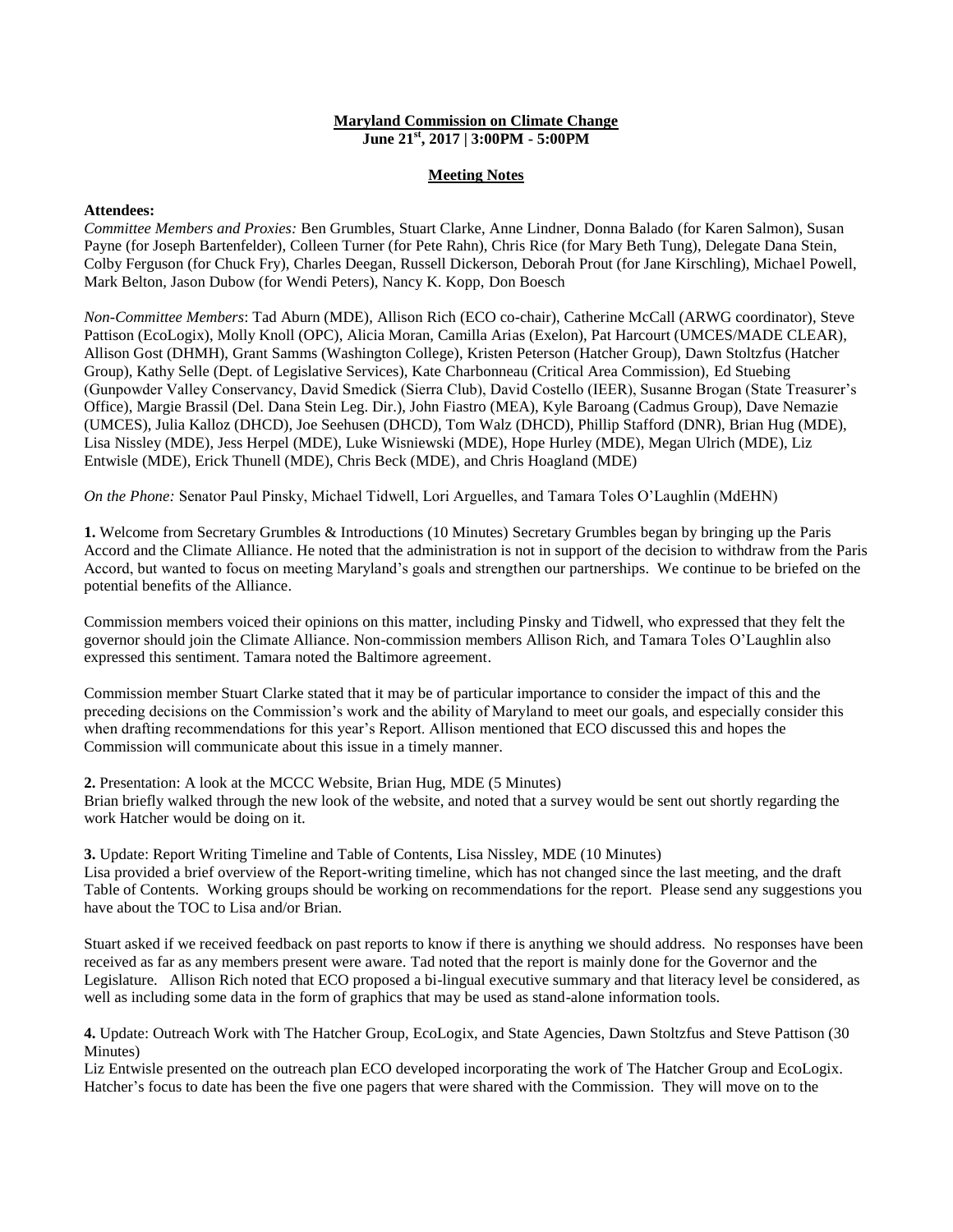# **Maryland Commission on Climate Change June 21st, 2017 | 3:00PM - 5:00PM**

### **Meeting Notes**

#### **Attendees:**

*Committee Members and Proxies:* Ben Grumbles, Stuart Clarke, Anne Lindner, Donna Balado (for Karen Salmon), Susan Payne (for Joseph Bartenfelder), Colleen Turner (for Pete Rahn), Chris Rice (for Mary Beth Tung), Delegate Dana Stein, Colby Ferguson (for Chuck Fry), Charles Deegan, Russell Dickerson, Deborah Prout (for Jane Kirschling), Michael Powell, Mark Belton, Jason Dubow (for Wendi Peters), Nancy K. Kopp, Don Boesch

*Non-Committee Members*: Tad Aburn (MDE), Allison Rich (ECO co-chair), Catherine McCall (ARWG coordinator), Steve Pattison (EcoLogix), Molly Knoll (OPC), Alicia Moran, Camilla Arias (Exelon), Pat Harcourt (UMCES/MADE CLEAR), Allison Gost (DHMH), Grant Samms (Washington College), Kristen Peterson (Hatcher Group), Dawn Stoltzfus (Hatcher Group), Kathy Selle (Dept. of Legislative Services), Kate Charbonneau (Critical Area Commission), Ed Stuebing (Gunpowder Valley Conservancy, David Smedick (Sierra Club), David Costello (IEER), Susanne Brogan (State Treasurer's Office), Margie Brassil (Del. Dana Stein Leg. Dir.), John Fiastro (MEA), Kyle Baroang (Cadmus Group), Dave Nemazie (UMCES), Julia Kalloz (DHCD), Joe Seehusen (DHCD), Tom Walz (DHCD), Phillip Stafford (DNR), Brian Hug (MDE), Lisa Nissley (MDE), Jess Herpel (MDE), Luke Wisniewski (MDE), Hope Hurley (MDE), Megan Ulrich (MDE), Liz Entwisle (MDE), Erick Thunell (MDE), Chris Beck (MDE), and Chris Hoagland (MDE)

*On the Phone:* Senator Paul Pinsky, Michael Tidwell, Lori Arguelles, and Tamara Toles O'Laughlin (MdEHN)

**1.** Welcome from Secretary Grumbles & Introductions (10 Minutes) Secretary Grumbles began by bringing up the Paris Accord and the Climate Alliance. He noted that the administration is not in support of the decision to withdraw from the Paris Accord, but wanted to focus on meeting Maryland's goals and strengthen our partnerships. We continue to be briefed on the potential benefits of the Alliance.

Commission members voiced their opinions on this matter, including Pinsky and Tidwell, who expressed that they felt the governor should join the Climate Alliance. Non-commission members Allison Rich, and Tamara Toles O'Laughlin also expressed this sentiment. Tamara noted the Baltimore agreement.

Commission member Stuart Clarke stated that it may be of particular importance to consider the impact of this and the preceding decisions on the Commission's work and the ability of Maryland to meet our goals, and especially consider this when drafting recommendations for this year's Report. Allison mentioned that ECO discussed this and hopes the Commission will communicate about this issue in a timely manner.

**2.** Presentation: A look at the MCCC Website, Brian Hug, MDE (5 Minutes)

Brian briefly walked through the new look of the website, and noted that a survey would be sent out shortly regarding the work Hatcher would be doing on it.

**3.** Update: Report Writing Timeline and Table of Contents, Lisa Nissley, MDE (10 Minutes) Lisa provided a brief overview of the Report-writing timeline, which has not changed since the last meeting, and the draft Table of Contents. Working groups should be working on recommendations for the report. Please send any suggestions you have about the TOC to Lisa and/or Brian.

Stuart asked if we received feedback on past reports to know if there is anything we should address. No responses have been received as far as any members present were aware. Tad noted that the report is mainly done for the Governor and the Legislature. Allison Rich noted that ECO proposed a bi-lingual executive summary and that literacy level be considered, as well as including some data in the form of graphics that may be used as stand-alone information tools.

**4.** Update: Outreach Work with The Hatcher Group, EcoLogix, and State Agencies, Dawn Stoltzfus and Steve Pattison (30 Minutes)

Liz Entwisle presented on the outreach plan ECO developed incorporating the work of The Hatcher Group and EcoLogix. Hatcher's focus to date has been the five one pagers that were shared with the Commission. They will move on to the